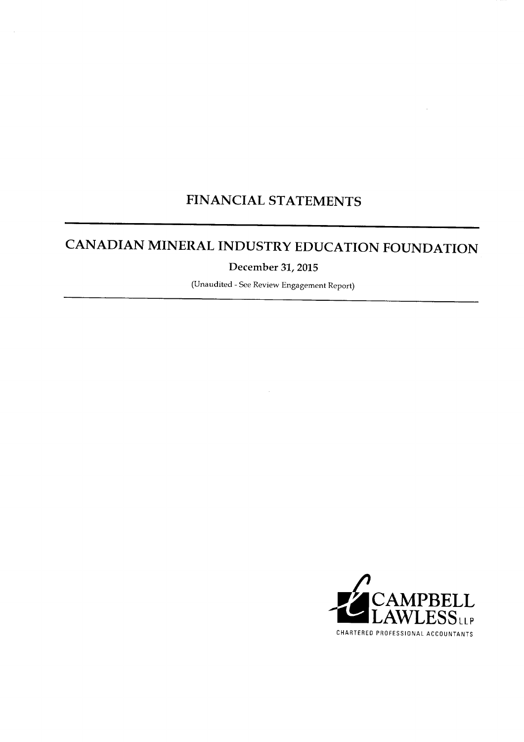## FINANCIAL STATEMENTS

## CANADIAN MINERAL INDUSTRY EDUCATION FOUNDATION

December 31, 2015

(Unaudited - See Review Engagement Report)

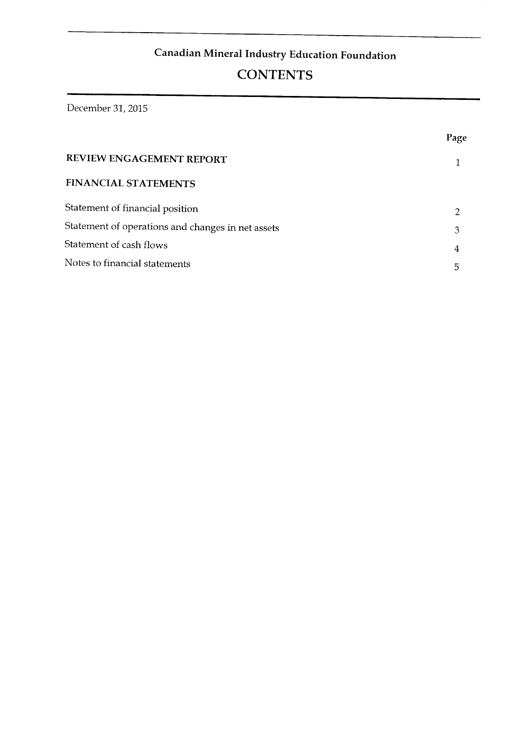## **CONTENTS**

**Statement of cash flows 4** 

**Notes to financial statements 5** 

**FINANCIA L STATEMENTS** 

|                                                   | Page |
|---------------------------------------------------|------|
| REVIEW ENGAGEMENT REPORT                          |      |
| FINANCIAL STATEMENTS                              |      |
| Statement of financial position                   | 2    |
| Statement of operations and changes in net assets | З    |
| Statement of cash flows                           | 4    |
| Notes to financial statements                     | 5    |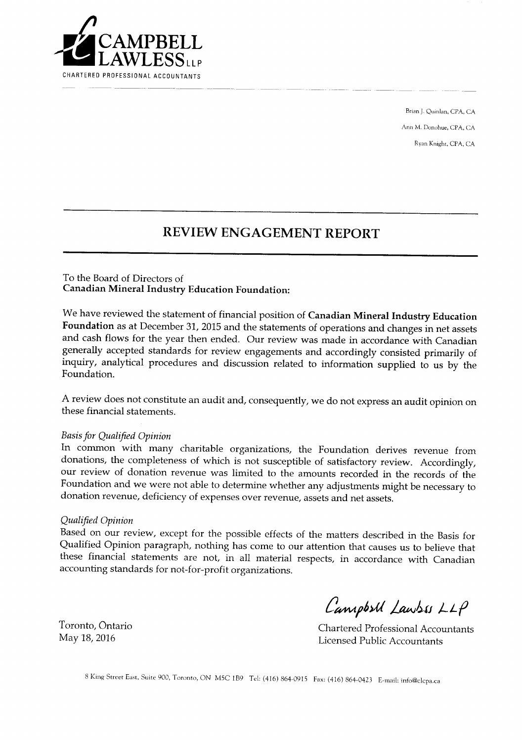

Brian J. Quinlan, CPA, CA Ann M. Donohue, CPA, CA Ryan Knight, CPA, CA

## **REVIEW ENGAGEMENT REPORT**

**inquiry, analytical procedures and discussion related to information supplied to us by the** 

**A review does not constitute an audit and, consequently, we do not express an audit opinion on** 

#### To the Board of Directors of **Canadian Mineral Industry Education Foundation:**

We have reviewed the statement of financial position of Canadian Mineral Industry Education Foundation as at December 31, 2015 and the statements of operations and changes in net assets and cash flows for the year then ended. Our review was made in accordance with Canadian generally accepted standards for review engagements and accordingly consisted primarily of inquiry, analytical procedures and discussion related to information supplied to us by the Foundation.

**A** review does not constitute an audit and, consequently, we do not express an audit opinion on these financial statements.

#### **Basis for Qualified Opinion**

In common with many charitable organizations, the Foundation derives revenue from donations, the completeness of which is not susceptible of satisfactory review. Accordingly, our review of donation revenue was limited to the amounts recorded in the records of the **Chartered Professional Accountants**  Licensed Public Account donation revenue, deficiency of expenses over revenue, assets and net assets.

#### Qualified Opinion

Based on our review, except for the possible effects of the matters described in the Basis for Qualified Opinion paragraph, nothing has come to our attention that causes us to believe that these financial statements are not, in all material respects, in accordance with Canadian accounting standards for not-for-profit organizations.

Toronto, Ontario May 18, 2016

CampbsU Lawss LLP

**Chartered Professional Accountants Licensed Public Accountants**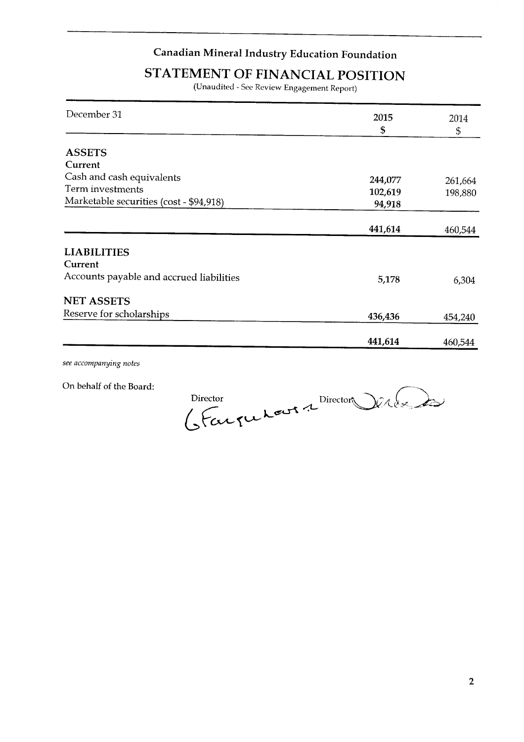#### **Term investments 102,619 198,880**   $\bm{\mathsf{Canadian \; Mineral \; Industry \; Education \; Foundation}}$

**Cash and cash equivalents 244,077 261,664** 

## **5TATEMENT OF FINANCIAL POSITION**

(Unaudited - See Review Engagement Report)

| December 31                              | 2015    | 2014    |
|------------------------------------------|---------|---------|
|                                          | \$      | \$      |
|                                          |         |         |
| <b>ASSETS</b>                            |         |         |
| Current                                  |         |         |
| Cash and cash equivalents                | 244,077 | 261,664 |
| Term investments                         | 102,619 | 198,880 |
| Marketable securities (cost - \$94,918)  | 94,918  |         |
|                                          |         |         |
|                                          | 441,614 | 460,544 |
|                                          |         |         |
| <b>LIABILITIES</b>                       |         |         |
| Current                                  |         |         |
| Accounts payable and accrued liabilities | 5,178   | 6,304   |
| <b>NET ASSETS</b>                        |         |         |
| Reserve for scholarships                 | 436,436 | 454,240 |
|                                          |         |         |
|                                          | 441,614 | 460,544 |

see accompanying notes

On behalf of the Board:

erle de Director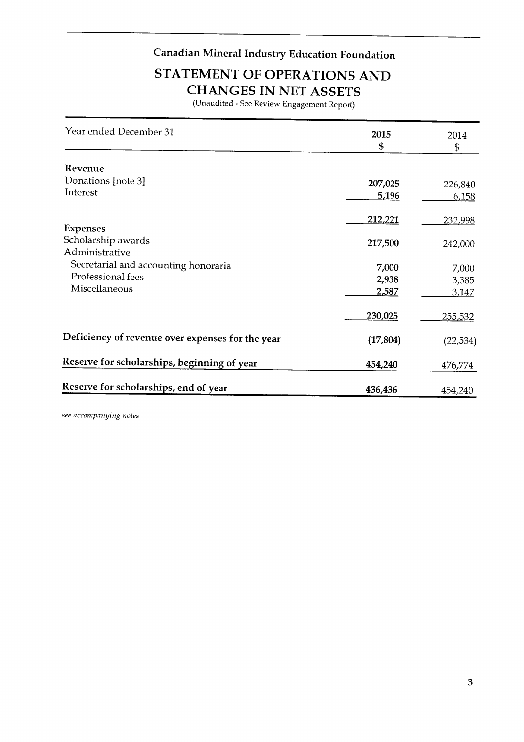**Donations [note 3] 207,025 226,840** 

# **213 YATEMENT OF OPERATIONS AND CHANGES IN NET ASSETS**<br>(Unaudited - See Review Engagement Report)

| Year ended December 31                                  | 2015      | 2014           |
|---------------------------------------------------------|-----------|----------------|
|                                                         | \$        | $\mathfrak{S}$ |
| Revenue                                                 |           |                |
| Donations [note 3]                                      | 207,025   | 226,840        |
| Interest                                                | 5,196     | 6,158          |
|                                                         | 212,221   | 232,998        |
| <b>Expenses</b><br>Scholarship awards<br>Administrative | 217,500   | 242,000        |
| Secretarial and accounting honoraria                    | 7,000     | 7,000          |
| Professional fees                                       | 2,938     | 3,385          |
| Miscellaneous                                           | 2,587     | <u>3,147</u>   |
|                                                         | 230,025   | <u>255,532</u> |
| Deficiency of revenue over expenses for the year        | (17, 804) | (22, 534)      |
| Reserve for scholarships, beginning of year             | 454,240   | 476,774        |
| Reserve for scholarships, end of year                   | 436,436   | 454,240        |

see accompanying notes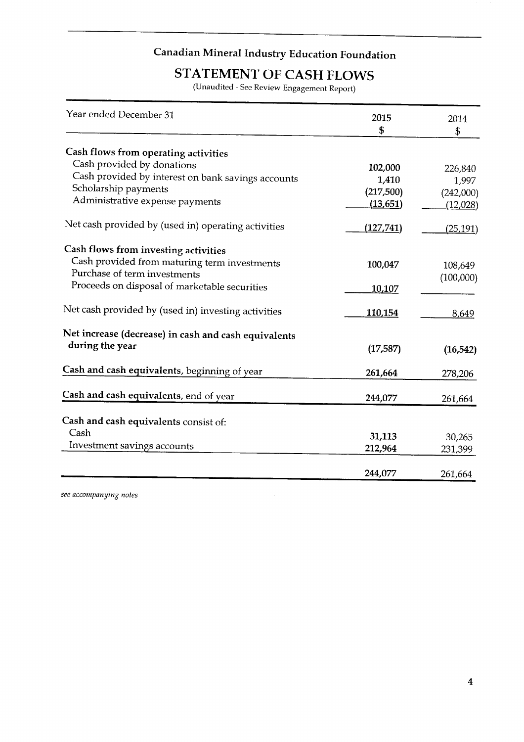#### **Administrative Expedian Mineral (13,6511**

**(217,500)** 

**(242,000)** 

**Cash provided by interest on bank savings accounts** 

# **STATEMENT OF CASH FLOWS** (Unaudited - See Review Engagement Report)

| Year ended December 31                               | 2015      | 2014      |
|------------------------------------------------------|-----------|-----------|
|                                                      | \$        | \$        |
| Cash flows from operating activities                 |           |           |
| Cash provided by donations                           | 102,000   | 226,840   |
| Cash provided by interest on bank savings accounts   | 1,410     | 1,997     |
| Scholarship payments                                 | (217,500) | (242,000) |
| Administrative expense payments                      | (13, 651) | (12,028)  |
| Net cash provided by (used in) operating activities  | (127,741) | (25, 191) |
| Cash flows from investing activities                 |           |           |
| Cash provided from maturing term investments         | 100,047   | 108,649   |
| Purchase of term investments                         |           | (100,000) |
| Proceeds on disposal of marketable securities        | 10,107    |           |
| Net cash provided by (used in) investing activities  | 110,154   | 8,649     |
| Net increase (decrease) in cash and cash equivalents |           |           |
| during the year                                      | (17, 587) | (16, 542) |
| Cash and cash equivalents, beginning of year         | 261,664   | 278,206   |
| Cash and cash equivalents, end of year               | 244,077   |           |
|                                                      |           | 261,664   |
| Cash and cash equivalents consist of:                |           |           |
| Cash                                                 | 31,113    | 30,265    |
| Investment savings accounts                          | 212,964   | 231,399   |
|                                                      | 244,077   | 261,664   |

see accompanying notes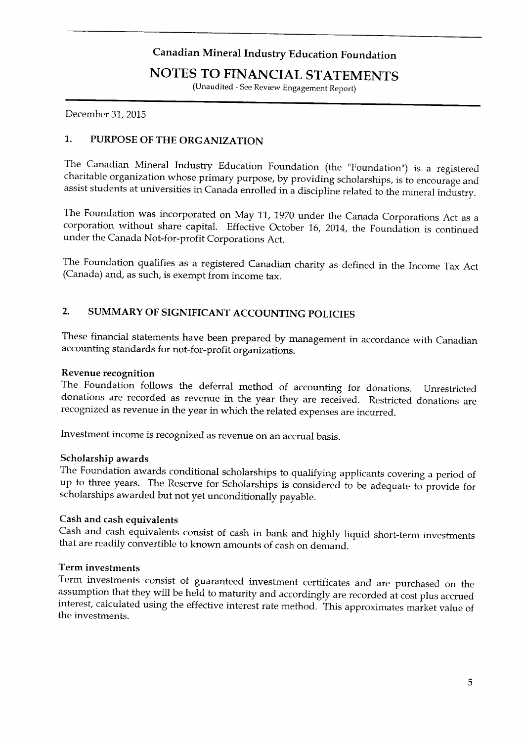**charitable organization whose primary purpose, by providing scholarships, is to encourage and assist students at universities in Canada enrolled in a discipline related to the mineral industry.** 

#### **The Foundation was incorporated on May 11, 1970 under the Canada Corporations Act as a**  roles to financial statements

(Unaudited - See Review Engagement Report)

December 31, 2015

#### 1. PURPOSE OF THE ORGANIZATION

The Canadian Mineral Industry Education Foundation (the "Foundation") is a registered charitable organization whose primary purpose, by providing scholarships, is to encourage and assist students at universities in Canada enrolled in a discipline related to the mineral industry

The Foundation was incorporated on May 11, 1970 under the Canada Corporations Act as a corporation without share capital. Effective October 16, 2014, the Foundation is continued under the Canada Not-for-profit Corporations Act.

The Foundation qualifies as a registered Canadian charity as defined in the Income Tax Act (Canada) and, as such, is exempt from income tax.

## 2. SUMMARY OF SIGNIFICANT ACCOUNTING POLICIES

These financial statements have been prepared by management in accordance with Canadian accounting standards for not-for-profit organizations.

#### **Revenue recognition**

The Foundation follows the deferral method of accounting for donations. Unrestricted donations are recorded as revenue in the year they are received. Restricted donations are recognized as revenue in the year in which the related expenses are incurred.

**The investment income is recognized as revenue on an accrual basis assumption that they will be held to maturity and accordingly are recorded at cost plus accrued** 

#### Scholarship awards

The Foundation awards conditional scholarships to qualifying applicants covering a period of up to three years. The Reserve for Scholarships is considered to be adequate to provide for scholarships awarded but not yet unconditionally payable.

#### Cash and cash equivalents

Cash and cash equivalents consist of cash in bank and highly liquid short-term investments that are readily convertible to known amounts of cash on demand.

## Term investments

Term investments consist of guaranteed investment certificates and are purchased on the assumption that they will be held to maturity and accordingly are recorded at cost plus accrued interest, calculated using the effective interest rate method. This approximates market value of the investments.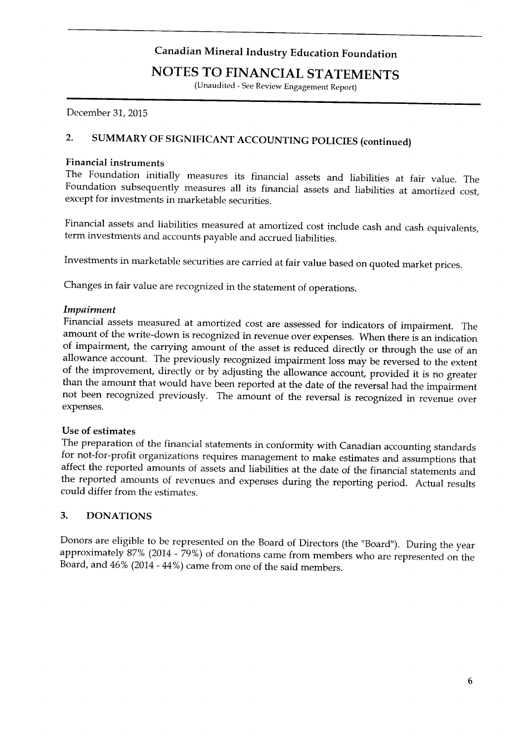**The Foundation initially measures its financial assets and liabilities at fair value. The** 

## **FINANCIAL STATEMENTS**

**(Unaudited - See Review Engagement Report)** 

**December 31, 2015** 

## 2. SUMMARY OF SIGNIFICANT ACCOUNTING POLICIES (continued)

#### Financial instruments

The Foundation initially measures its financial assets and liabilities at fair value. The Foundation subsequently measures all its financial assets and liabilities at amortized cost, except for investments in marketable securities.

Financial assets and liabilities measured at amortized cost include cash and cash equivalents, term investments and accounts payable and accrued liabilities.

Investments in marketable securities are carried at fair value based on quoted market prices.

Changes in fair value are recognized in the statement of operations. **The preparation of the financial statements in conformity with Canadian accounting standards** 

#### **for not-for-profit organizations requires management to make estimates and assumptions that**

Financial assets measured at amortized cost are assessed for indicators of impairment. The amount of the write-down is recognized in revenue over expenses. When there is an indication of impairment, the carrying amount of the asset is reduced directly or through the use of an allowance account. The previously recognized impairment loss may be reversed to the extent of the improvement, directly or by adjusting the allowance account, provided it is no greater **Dot been recognized previously** The amount of the reversel is recognized in which the weak **approximately 87% (2014 - 79%) of donations who are represented on the area from members who are represented on the** 

#### Use of estimates

The preparation of the financial statements in conformity with Canadian accounting standards for not-for-profit organizations requires management to make estimates and assumptions that affect the reported amounts of assets and liabilities at the date of the financial statements and the reported amounts of revenues and expenses during the reporting period. Actual results could differ from the estimates.

#### 3. **DONATIONS**

Donors are eligible to be represented on the Board of Directors (the "Board"). During the year approximately 87% (2014 - 79%) of donations came from members who are represented on the Board, and 46% (2014 - 44%) came from one of the said members.